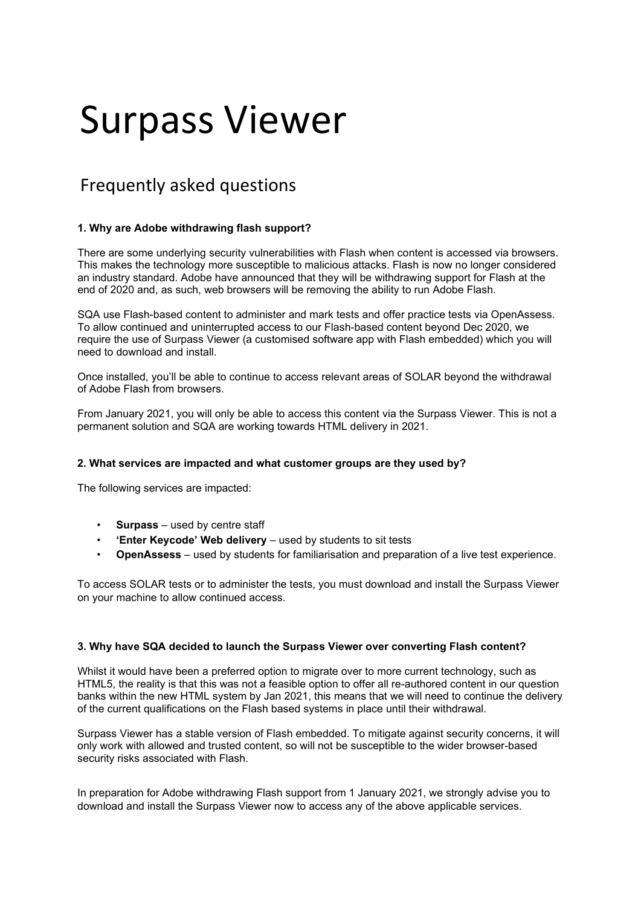# Surpass Viewer

# Frequently asked questions

# **1. Why are Adobe withdrawing flash support?**

There are some underlying security vulnerabilities with Flash when content is accessed via browsers. This makes the technology more susceptible to malicious attacks. Flash is now no longer considered an industry standard. Adobe have announced that they will be withdrawing support for Flash at the end of 2020 and, as such, web browsers will be removing the ability to run Adobe Flash.

SQA use Flash-based content to administer and mark tests and offer practice tests via OpenAssess. To allow continued and uninterrupted access to our Flash-based content beyond Dec 2020, we require the use of Surpass Viewer (a customised software app with Flash embedded) which you will need to download and install.

Once installed, you'll be able to continue to access relevant areas of SOLAR beyond the withdrawal of Adobe Flash from browsers.

From January 2021, you will only be able to access this content via the Surpass Viewer. This is not a permanent solution and SQA are working towards HTML delivery in 2021.

# **2. What services are impacted and what customer groups are they used by?**

The following services are impacted:

- **Surpass** used by centre staff
- **'Enter Keycode' Web delivery**  used by students to sit tests
- **OpenAssess** used by students for familiarisation and preparation of a live test experience.

To access SOLAR tests or to administer the tests, you must download and install the Surpass Viewer on your machine to allow continued access.

#### **3. Why have SQA decided to launch the Surpass Viewer over converting Flash content?**

Whilst it would have been a preferred option to migrate over to more current technology, such as HTML5, the reality is that this was not a feasible option to offer all re-authored content in our question banks within the new HTML system by Jan 2021, this means that we will need to continue the delivery of the current qualifications on the Flash based systems in place until their withdrawal.

Surpass Viewer has a stable version of Flash embedded. To mitigate against security concerns, it will only work with allowed and trusted content, so will not be susceptible to the wider browser-based security risks associated with Flash.

In preparation for Adobe withdrawing Flash support from 1 January 2021, we strongly advise you to download and install the Surpass Viewer now to access any of the above applicable services.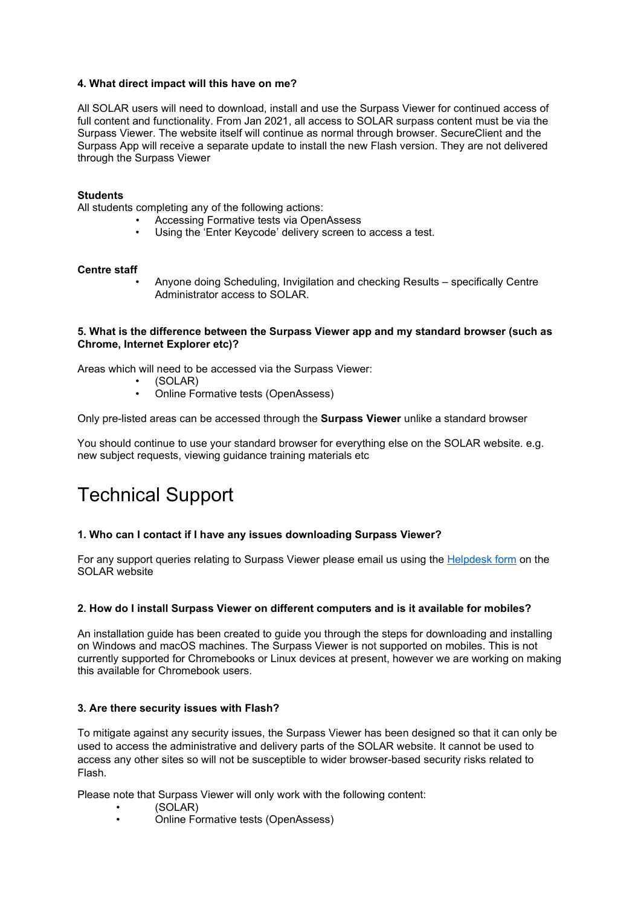# **4. What direct impact will this have on me?**

All SOLAR users will need to download, install and use the Surpass Viewer for continued access of full content and functionality. From Jan 2021, all access to SOLAR surpass content must be via the Surpass Viewer. The website itself will continue as normal through browser. SecureClient and the Surpass App will receive a separate update to install the new Flash version. They are not delivered through the Surpass Viewer

#### **Students**

All students completing any of the following actions:

- Accessing Formative tests via OpenAssess
- Using the 'Enter Keycode' delivery screen to access a test.

#### **Centre staff**

• Anyone doing Scheduling, Invigilation and checking Results – specifically Centre Administrator access to SOLAR.

# **5. What is the difference between the Surpass Viewer app and my standard browser (such as Chrome, Internet Explorer etc)?**

Areas which will need to be accessed via the Surpass Viewer:

- (SOLAR)
- Online Formative tests (OpenAssess)

Only pre-listed areas can be accessed through the **Surpass Viewer** unlike a standard browser

You should continue to use your standard browser for everything else on the SOLAR website. e.g. new subject requests, viewing guidance training materials etc

# Technical Support

#### **1. Who can I contact if I have any issues downloading Surpass Viewer?**

For any support queries relating to Surpass Viewer please email us using the [Helpdesk form](https://www.sqasolar.org.uk/mini/33164.1607.1610.html) on the SOLAR website

#### **2. How do I install Surpass Viewer on different computers and is it available for mobiles?**

An installation guide has been created to guide you through the steps for downloading and installing on Windows and macOS machines. The Surpass Viewer is not supported on mobiles. This is not currently supported for Chromebooks or Linux devices at present, however we are working on making this available for Chromebook users.

#### **3. Are there security issues with Flash?**

To mitigate against any security issues, the Surpass Viewer has been designed so that it can only be used to access the administrative and delivery parts of the SOLAR website. It cannot be used to access any other sites so will not be susceptible to wider browser-based security risks related to Flash.

Please note that Surpass Viewer will only work with the following content:

- (SOLAR)
- Online Formative tests (OpenAssess)